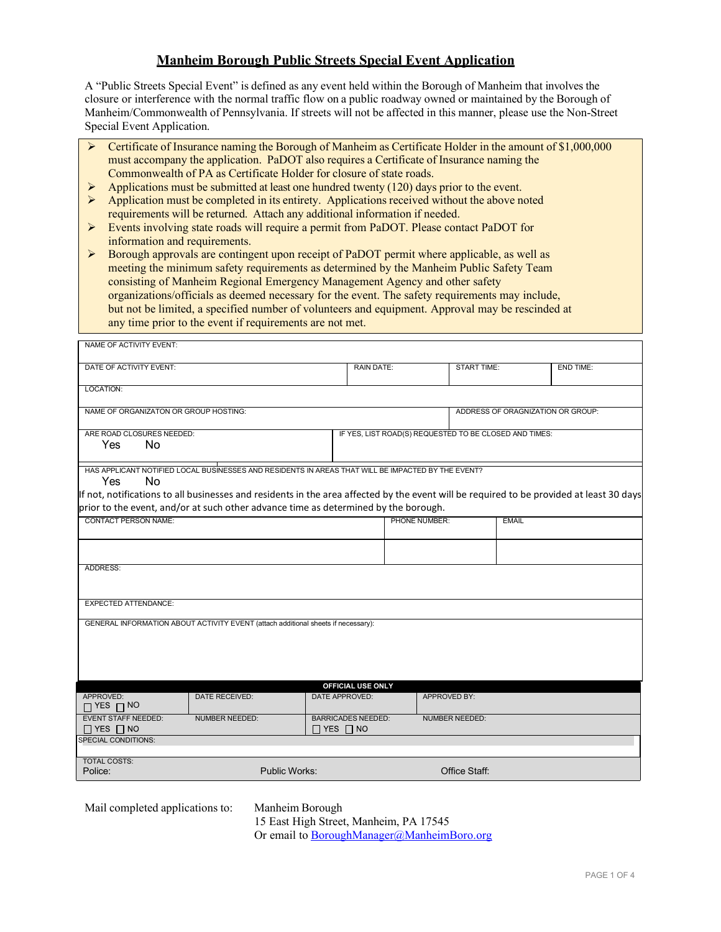## **Manheim Borough Public Streets Special Event Application**

A "Public Streets Special Event" is defined as any event held within the Borough of Manheim that involves the closure or interference with the normal traffic flow on a public roadway owned or maintained by the Borough of Manheim/Commonwealth of Pennsylvania. If streets will not be affected in this manner, please use the Non-Street Special Event Application.

- Certificate of Insurance naming the Borough of Manheim as Certificate Holder in the amount of \$1,000,000 must accompany the application. PaDOT also requires a Certificate of Insurance naming the Commonwealth of PA as Certificate Holder for closure of state roads.
- Applications must be submitted at least one hundred twenty (120) days prior to the event.<br>Application must be completed in its entirety. Applications received without the above n
- Application must be completed in its entirety. Applications received without the above noted requirements will be returned. Attach any additional information if needed.
- Events involving state roads will require a permit from PaDOT. Please contact PaDOT for information and requirements.

 Borough approvals are contingent upon receipt of PaDOT permit where applicable, as well as meeting the minimum safety requirements as determined by the Manheim Public Safety Team consisting of Manheim Regional Emergency Management Agency and other safety organizations/officials as deemed necessary for the event. The safety requirements may include, but not be limited, a specified number of volunteers and equipment. Approval may be rescinded at any time prior to the event if requirements are not met.

| NAME OF ACTIVITY EVENT:                                                                                            |                                                                                                                                          |                                                   |                   |                                                        |                    |                  |  |
|--------------------------------------------------------------------------------------------------------------------|------------------------------------------------------------------------------------------------------------------------------------------|---------------------------------------------------|-------------------|--------------------------------------------------------|--------------------|------------------|--|
| DATE OF ACTIVITY EVENT:                                                                                            |                                                                                                                                          |                                                   | <b>RAIN DATE:</b> |                                                        | <b>START TIME:</b> | <b>END TIME:</b> |  |
| LOCATION:                                                                                                          |                                                                                                                                          |                                                   |                   |                                                        |                    |                  |  |
| NAME OF ORGANIZATON OR GROUP HOSTING:                                                                              |                                                                                                                                          |                                                   |                   | ADDRESS OF ORAGNIZATION OR GROUP:                      |                    |                  |  |
| ARE ROAD CLOSURES NEEDED:                                                                                          |                                                                                                                                          |                                                   |                   | IF YES, LIST ROAD(S) REQUESTED TO BE CLOSED AND TIMES: |                    |                  |  |
| Yes<br>No.                                                                                                         |                                                                                                                                          |                                                   |                   |                                                        |                    |                  |  |
| Yes<br>No                                                                                                          | HAS APPLICANT NOTIFIED LOCAL BUSINESSES AND RESIDENTS IN AREAS THAT WILL BE IMPACTED BY THE EVENT?                                       |                                                   |                   |                                                        |                    |                  |  |
|                                                                                                                    | If not, notifications to all businesses and residents in the area affected by the event will be required to be provided at least 30 days |                                                   |                   |                                                        |                    |                  |  |
| prior to the event, and/or at such other advance time as determined by the borough.<br><b>CONTACT PERSON NAME:</b> |                                                                                                                                          |                                                   | PHONE NUMBER:     |                                                        |                    |                  |  |
|                                                                                                                    |                                                                                                                                          |                                                   |                   |                                                        |                    |                  |  |
|                                                                                                                    |                                                                                                                                          |                                                   |                   |                                                        |                    |                  |  |
| <b>ADDRESS:</b>                                                                                                    |                                                                                                                                          |                                                   |                   |                                                        |                    |                  |  |
| <b>EXPECTED ATTENDANCE:</b>                                                                                        |                                                                                                                                          |                                                   |                   |                                                        |                    |                  |  |
| GENERAL INFORMATION ABOUT ACTIVITY EVENT (attach additional sheets if necessary):                                  |                                                                                                                                          |                                                   |                   |                                                        |                    |                  |  |
|                                                                                                                    |                                                                                                                                          |                                                   |                   |                                                        |                    |                  |  |
|                                                                                                                    |                                                                                                                                          |                                                   |                   |                                                        |                    |                  |  |
|                                                                                                                    |                                                                                                                                          |                                                   |                   |                                                        |                    |                  |  |
| APPROVED:<br>$\Box$ YES $\Box$ NO                                                                                  | <b>DATE RECEIVED:</b>                                                                                                                    | <b>OFFICIAL USE ONLY</b><br>DATE APPROVED:        |                   | APPROVED BY:                                           |                    |                  |  |
| <b>EVENT STAFF NEEDED:</b><br>$\Box$ YES $\Box$ NO                                                                 | <b>NUMBER NEEDED:</b>                                                                                                                    | <b>BARRICADES NEEDED:</b><br>$\Box$ YES $\Box$ NO |                   | <b>NUMBER NEEDED:</b>                                  |                    |                  |  |
| <b>SPECIAL CONDITIONS:</b>                                                                                         |                                                                                                                                          |                                                   |                   |                                                        |                    |                  |  |
| <b>TOTAL COSTS:</b><br>Police:                                                                                     | <b>Public Works:</b>                                                                                                                     |                                                   | Office Staff:     |                                                        |                    |                  |  |

Mail completed applications to: Manheim Borough

15 East High Street, Manheim, PA 17545 Or email to BoroughManager@ManheimBoro.org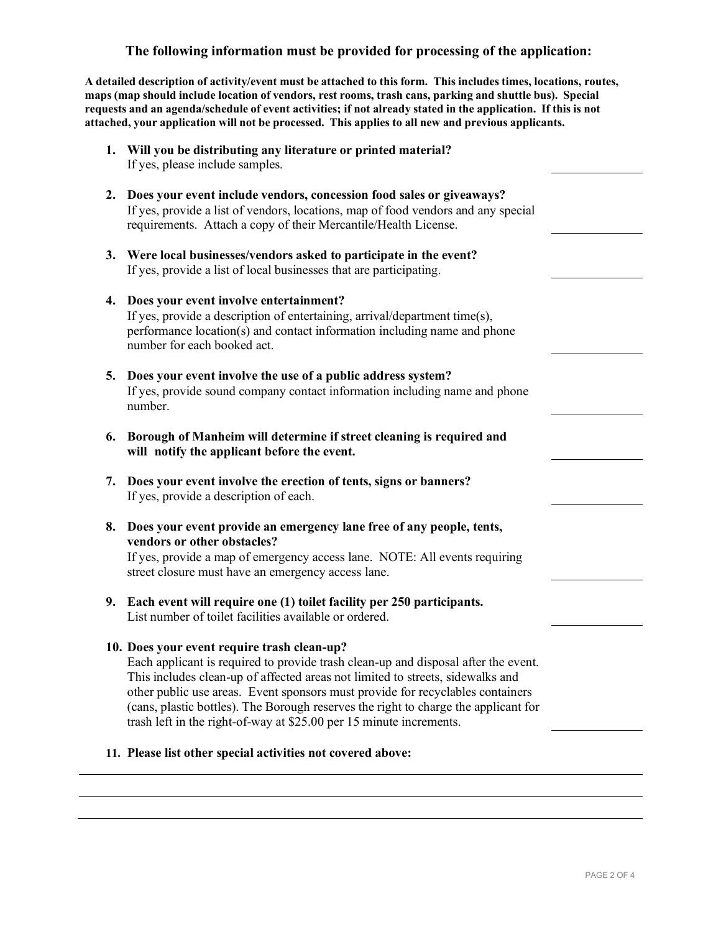## **The following information must be provided for processing of the application:**

**A detailed description of activity/event must be attached to this form. This includes times, locations, routes, maps (map should include location of vendors, rest rooms, trash cans, parking and shuttle bus). Special requests and an agenda/schedule of event activities; if not already stated in the application. If this is not attached, your application will not be processed. This applies to all new and previous applicants.**

- **1. Will you be distributing any literature or printed material?** If yes, please include samples.
- **2. Does your event include vendors, concession food sales or giveaways?** If yes, provide a list of vendors, locations, map of food vendors and any special requirements. Attach a copy of their Mercantile/Health License.
- **3. Were local businesses/vendors asked to participate in the event?** If yes, provide a list of local businesses that are participating.
- **4. Does your event involve entertainment?** If yes, provide a description of entertaining, arrival/department time(s), performance location(s) and contact information including name and phone number for each booked act.
- **5. Does your event involve the use of a public address system?** If yes, provide sound company contact information including name and phone number.
- **6. Borough of Manheim will determine if street cleaning is required and will notify the applicant before the event.**
- **7. Does your event involve the erection of tents, signs or banners?** If yes, provide a description of each.
- **8. Does your event provide an emergency lane free of any people, tents, vendors or other obstacles?**

If yes, provide a map of emergency access lane. NOTE: All events requiring street closure must have an emergency access lane.

**9. Each event will require one (1) toilet facility per 250 participants.** List number of toilet facilities available or ordered.

### **10. Does your event require trash clean-up?**

Each applicant is required to provide trash clean-up and disposal after the event. This includes clean-up of affected areas not limited to streets, sidewalks and other public use areas. Event sponsors must provide for recyclables containers (cans, plastic bottles). The Borough reserves the right to charge the applicant for trash left in the right-of-way at \$25.00 per 15 minute increments.

#### **11. Please list other special activities not covered above:**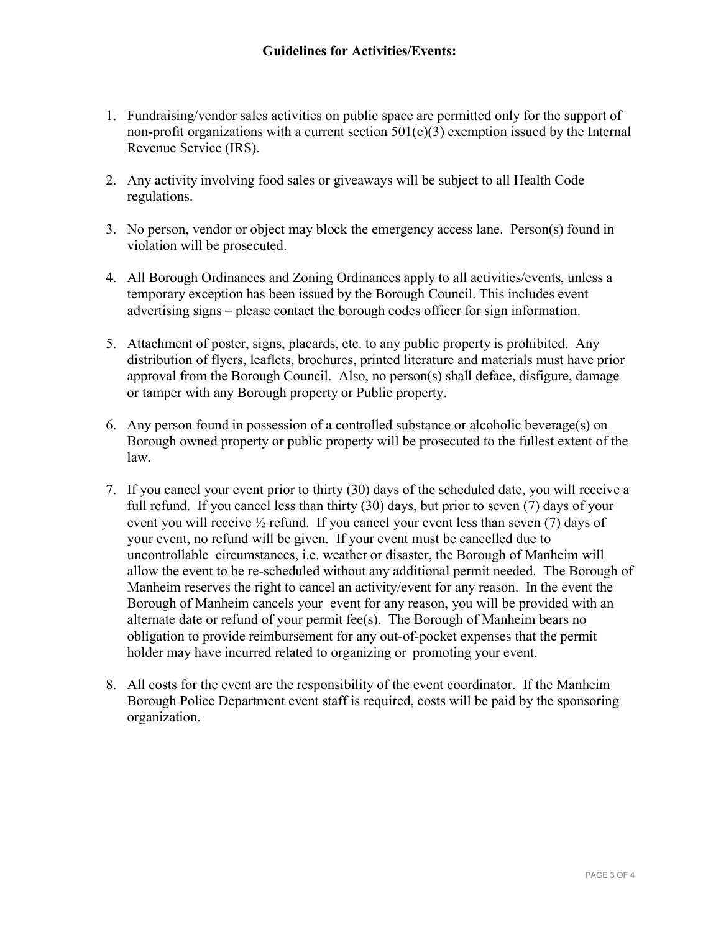- 1. Fundraising/vendor sales activities on public space are permitted only for the support of non-profit organizations with a current section  $501(c)(3)$  exemption issued by the Internal Revenue Service (IRS).
- 2. Any activity involving food sales or giveaways will be subject to all Health Code regulations.
- 3. No person, vendor or object may block the emergency access lane. Person(s) found in violation will be prosecuted.
- 4. All Borough Ordinances and Zoning Ordinances apply to all activities/events, unless a temporary exception has been issued by the Borough Council. This includes event advertising signs – please contact the borough codes officer for sign information.
- 5. Attachment of poster, signs, placards, etc. to any public property is prohibited. Any distribution of flyers, leaflets, brochures, printed literature and materials must have prior approval from the Borough Council. Also, no person(s) shall deface, disfigure, damage or tamper with any Borough property or Public property.
- 6. Any person found in possession of a controlled substance or alcoholic beverage(s) on Borough owned property or public property will be prosecuted to the fullest extent of the law.
- 7. If you cancel your event prior to thirty (30) days of the scheduled date, you will receive a full refund. If you cancel less than thirty (30) days, but prior to seven (7) days of your event you will receive ½ refund. If you cancel your event less than seven (7) days of your event, no refund will be given. If your event must be cancelled due to uncontrollable circumstances, i.e. weather or disaster, the Borough of Manheim will allow the event to be re-scheduled without any additional permit needed. The Borough of Manheim reserves the right to cancel an activity/event for any reason. In the event the Borough of Manheim cancels your event for any reason, you will be provided with an alternate date or refund of your permit fee(s). The Borough of Manheim bears no obligation to provide reimbursement for any out-of-pocket expenses that the permit holder may have incurred related to organizing or promoting your event.
- 8. All costs for the event are the responsibility of the event coordinator. If the Manheim Borough Police Department event staff is required, costs will be paid by the sponsoring organization.